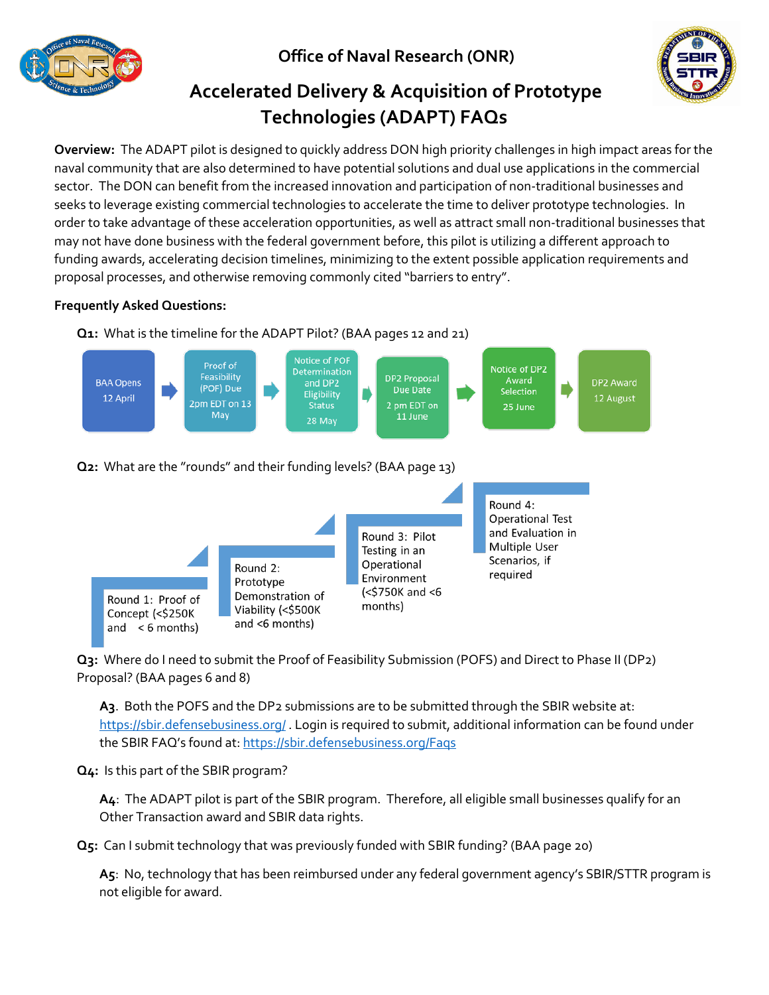

## **Office of Naval Research (ONR)**



# **Accelerated Delivery & Acquisition of Prototype Technologies (ADAPT) FAQs**

**Overview:** The ADAPT pilot is designed to quickly address DON high priority challenges in high impact areas for the naval community that are also determined to have potential solutions and dual use applications in the commercial sector. The DON can benefit from the increased innovation and participation of non-traditional businesses and seeks to leverage existing commercial technologies to accelerate the time to deliver prototype technologies. In order to take advantage of these acceleration opportunities, as well as attract small non-traditional businesses that may not have done business with the federal government before, this pilot is utilizing a different approach to funding awards, accelerating decision timelines, minimizing to the extent possible application requirements and proposal processes, and otherwise removing commonly cited "barriers to entry".

### **Frequently Asked Questions:**



**Q3:** Where do I need to submit the Proof of Feasibility Submission (POFS) and Direct to Phase II (DP2) Proposal? (BAA pages 6 and 8)

Viability (<\$500K

and <6 months)

**A3**. Both the POFS and the DP2 submissions are to be submitted through the SBIR website at: <https://sbir.defensebusiness.org/>. Login is required to submit, additional information can be found under the SBIR FAQ's found at: <https://sbir.defensebusiness.org/Faqs>

**Q4:** Is this part of the SBIR program?

Concept (<\$250K

and  $< 6$  months)

**A4**: The ADAPT pilot is part of the SBIR program. Therefore, all eligible small businesses qualify for an Other Transaction award and SBIR data rights.

**Q5:** Can I submit technology that was previously funded with SBIR funding? (BAA page 20)

**A5**: No, technology that has been reimbursed under any federal government agency's SBIR/STTR program is not eligible for award.